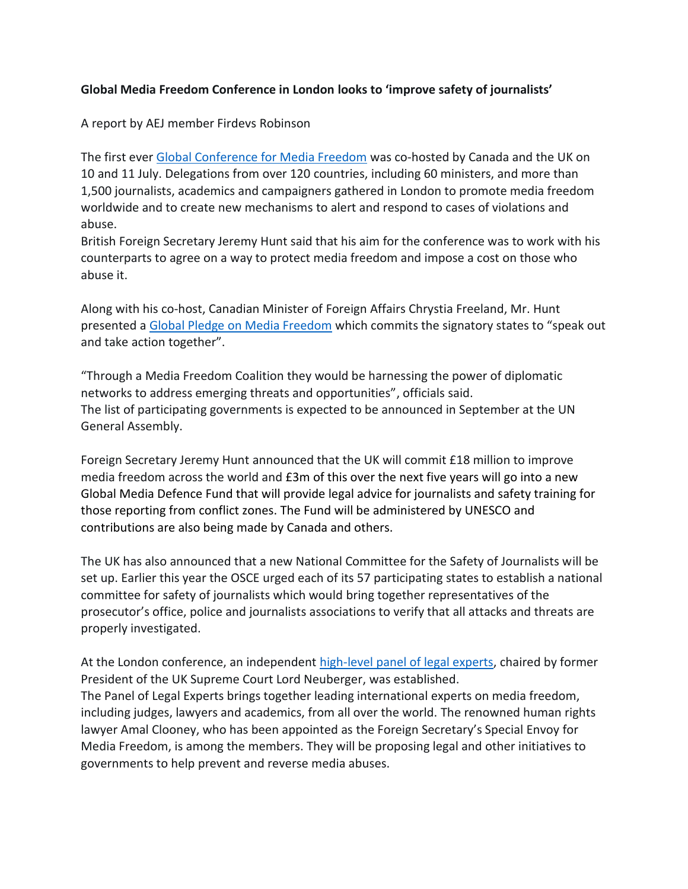## **Global Media Freedom Conference in London looks to 'improve safety of journalists'**

A report by AEJ member Firdevs Robinson

The first ever [Global Conference for Media Freedom](https://www.gov.uk/government/topical-events/global-conference-for-media-freedom-london-2019) was co-hosted by Canada and the UK on 10 and 11 July. Delegations from over 120 countries, including 60 ministers, and more than 1,500 journalists, academics and campaigners gathered in London to promote media freedom worldwide and to create new mechanisms to alert and respond to cases of violations and abuse.

British Foreign Secretary Jeremy Hunt said that his aim for the conference was to work with his counterparts to agree on a way to protect media freedom and impose a cost on those who abuse it.

Along with his co-host, Canadian Minister of Foreign Affairs Chrystia Freeland, Mr. Hunt presented a [Global Pledge on Media Freedom](https://www.gov.uk/government/publications/global-pledge-on-media-freedom/global-pledge-on-media-freedom) which commits the signatory states to "speak out and take action together".

"Through a Media Freedom Coalition they would be harnessing the power of diplomatic networks to address emerging threats and opportunities", officials said. The list of participating governments is expected to be announced in September at the UN General Assembly.

Foreign Secretary Jeremy Hunt announced that the UK will commit £18 million to improve media freedom across the world and £3m of this over the next five years will go into a new Global Media Defence Fund that will provide legal advice for journalists and safety training for those reporting from conflict zones. The Fund will be administered by UNESCO and contributions are also being made by Canada and others.

The UK has also announced that a new National Committee for the Safety of Journalists will be set up. Earlier this year the OSCE urged each of its 57 participating states to establish a national committee for safety of journalists which would bring together representatives of the prosecutor's office, police and journalists associations to verify that all attacks and threats are properly investigated.

At the London conference, an independent [high-level panel of legal experts,](https://www.gov.uk/government/news/lord-neuberger-and-amal-clooney-announce-media-freedom-legal-panel-members) chaired by former President of the UK Supreme Court Lord Neuberger, was established. The Panel of Legal Experts brings together leading international experts on media freedom, including judges, lawyers and academics, from all over the world. The renowned human rights lawyer Amal Clooney, who has been appointed as the Foreign Secretary's Special Envoy for Media Freedom, is among the members. They will be proposing legal and other initiatives to governments to help prevent and reverse media abuses.